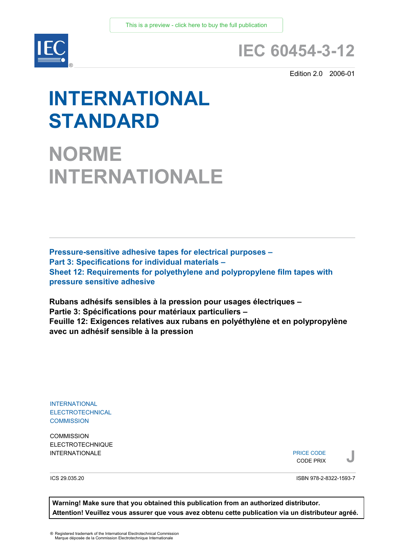

# **IEC 60454-3-12**

Edition 2.0 2006-01

# **INTERNATIONAL STANDARD**

**NORME INTERNATIONALE**

**Pressure-sensitive adhesive tapes for electrical purposes – Part 3: Specifications for individual materials – Sheet 12: Requirements for polyethylene and polypropylene film tapes with pressure sensitive adhesive**

**Rubans adhésifs sensibles à la pression pour usages électriques – Partie 3: Spécifications pour matériaux particuliers – Feuille 12: Exigences relatives aux rubans en polyéthylène et en polypropylène avec un adhésif sensible à la pression**

INTERNATIONAL ELECTROTECHNICAL **COMMISSION** 

**COMMISSION** ELECTROTECHNIQUE

INTERNATIONALE PRICE CODE PRIX PRICE CODE PRIX PRICE CODE PRIX PRICE CODE PRIX PRICE CODE PRIX PRICE CODE PRIX PRICE CODE PRIX PRICE CODE PRIX PRICE CODE PRIX PRICE CODE PRIX PRICE CODE PRIX PRIX PRICE CODE PRIX PRIX PRIX PRICE CODE CODE PRIX



ICS 29.035.20

ISBN 978-2-8322-1593-7

**Warning! Make sure that you obtained this publication from an authorized distributor. Attention! Veuillez vous assurer que vous avez obtenu cette publication via un distributeur agréé.**

® Registered trademark of the International Electrotechnical Commission Marque déposée de la Commission Electrotechnique Internationale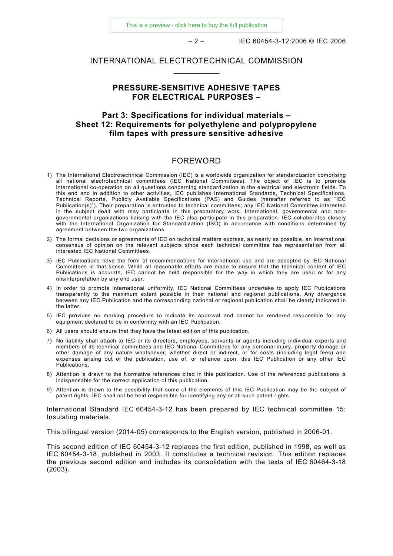[This is a preview - click here to buy the full publication](https://webstore.iec.ch/publication/2170&preview=1)

– 2 – IEC 60454-3-12:2006 © IEC 2006

# INTERNATIONAL ELECTROTECHNICAL COMMISSION  $\overline{\phantom{a}}$

# **PRESSURE-SENSITIVE ADHESIVE TAPES FOR ELECTRICAL PURPOSES –**

# **Part 3: Specifications for individual materials – Sheet 12: Requirements for polyethylene and polypropylene film tapes with pressure sensitive adhesive**

#### FOREWORD

- 1) The International Electrotechnical Commission (IEC) is a worldwide organization for standardization comprising all national electrotechnical committees (IEC National Committees). The object of IEC is to promote international co-operation on all questions concerning standardization in the electrical and electronic fields. To this end and in addition to other activities, IEC publishes International Standards, Technical Specifications, Technical Reports, Publicly Available Specifications (PAS) and Guides (hereafter referred to as "IEC Publication(s)"). Their preparation is entrusted to technical committees; any IEC National Committee interested in the subject dealt with may participate in this preparatory work. International, governmental and nongovernmental organizations liaising with the IEC also participate in this preparation. IEC collaborates closely with the International Organization for Standardization (ISO) in accordance with conditions determined by agreement between the two organizations.
- 2) The formal decisions or agreements of IEC on technical matters express, as nearly as possible, an international consensus of opinion on the relevant subjects since each technical committee has representation from all interested IEC National Committees.
- 3) IEC Publications have the form of recommendations for international use and are accepted by IEC National Committees in that sense. While all reasonable efforts are made to ensure that the technical content of IEC Publications is accurate, IEC cannot be held responsible for the way in which they are used or for any misinterpretation by any end user.
- 4) In order to promote international uniformity, IEC National Committees undertake to apply IEC Publications transparently to the maximum extent possible in their national and regional publications. Any divergence between any IEC Publication and the corresponding national or regional publication shall be clearly indicated in the latter.
- 5) IEC provides no marking procedure to indicate its approval and cannot be rendered responsible for any equipment declared to be in conformity with an IEC Publication.
- 6) All users should ensure that they have the latest edition of this publication.
- 7) No liability shall attach to IEC or its directors, employees, servants or agents including individual experts and members of its technical committees and IEC National Committees for any personal injury, property damage or other damage of any nature whatsoever, whether direct or indirect, or for costs (including legal fees) and expenses arising out of the publication, use of, or reliance upon, this IEC Publication or any other IEC Publications.
- 8) Attention is drawn to the Normative references cited in this publication. Use of the referenced publications is indispensable for the correct application of this publication.
- 9) Attention is drawn to the possibility that some of the elements of this IEC Publication may be the subject of patent rights. IEC shall not be held responsible for identifying any or all such patent rights.

International Standard IEC 60454-3-12 has been prepared by IEC technical committee 15: Insulating materials.

This bilingual version (2014-05) corresponds to the English version, published in 2006-01.

This second edition of IEC 60454-3-12 replaces the first edition, published in 1998, as well as IEC 60454-3-18, published in 2003. It constitutes a technical revision. This edition replaces the previous second edition and includes its consolidation with the texts of IEC 60464-3-18 (2003).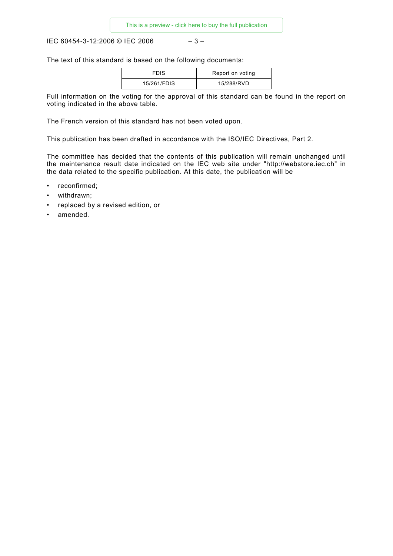IEC 60454-3-12:2006 © IEC 2006 – 3 –

The text of this standard is based on the following documents:

| <b>FDIS</b> | Report on voting |
|-------------|------------------|
| 15/261/FDIS | 15/288/RVD       |

Full information on the voting for the approval of this standard can be found in the report on voting indicated in the above table.

The French version of this standard has not been voted upon.

This publication has been drafted in accordance with the ISO/IEC Directives, Part 2.

The committee has decided that the contents of this publication will remain unchanged until the maintenance result date indicated on the IEC web site under "http://webstore.iec.ch" in the data related to the specific publication. At this date, the publication will be

- reconfirmed;
- withdrawn;
- replaced by a revised edition, or
- amended.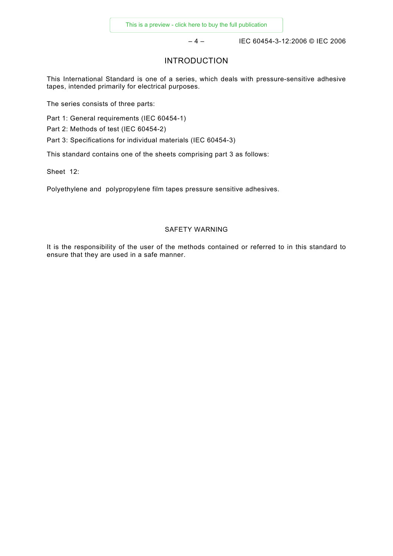– 4 – IEC 60454-3-12:2006 © IEC 2006

# INTRODUCTION

This International Standard is one of a series, which deals with pressure-sensitive adhesive tapes, intended primarily for electrical purposes.

The series consists of three parts:

Part 1: General requirements (IEC 60454-1)

Part 2: Methods of test (IEC 60454-2)

Part 3: Specifications for individual materials (IEC 60454-3)

This standard contains one of the sheets comprising part 3 as follows:

Sheet 12:

Polyethylene and polypropylene film tapes pressure sensitive adhesives.

#### SAFETY WARNING

It is the responsibility of the user of the methods contained or referred to in this standard to ensure that they are used in a safe manner.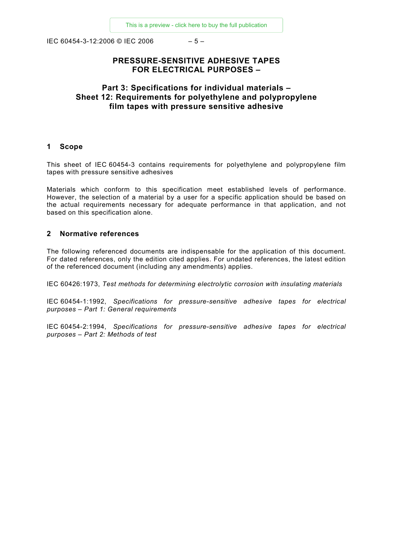IEC 60454-3-12:2006 © IEC 2006  $-5-$ 

# **PRESSURE-SENSITIVE ADHESIVE TAPES FOR ELECTRICAL PURPOSES –**

# **Part 3: Specifications for individual materials – Sheet 12: Requirements for polyethylene and polypropylene film tapes with pressure sensitive adhesive**

#### **1 Scope**

This sheet of IEC 60454-3 contains requirements for polyethylene and polypropylene film tapes with pressure sensitive adhesives

Materials which conform to this specification meet established levels of performance. However, the selection of a material by a user for a specific application should be based on the actual requirements necessary for adequate performance in that application, and not based on this specification alone.

#### **2 Normative references**

The following referenced documents are indispensable for the application of this document. For dated references, only the edition cited applies. For undated references, the latest edition of the referenced document (including any amendments) applies.

IEC 60426:1973, *Test methods for determining electrolytic corrosion with insulating materials*

IEC 60454-1:1992, *Specifications for pressure-sensitive adhesive tapes for electrical purposes – Part 1: General requirements*

IEC 60454-2:1994, *Specifications for pressure-sensitive adhesive tapes for electrical purposes – Part 2: Methods of test*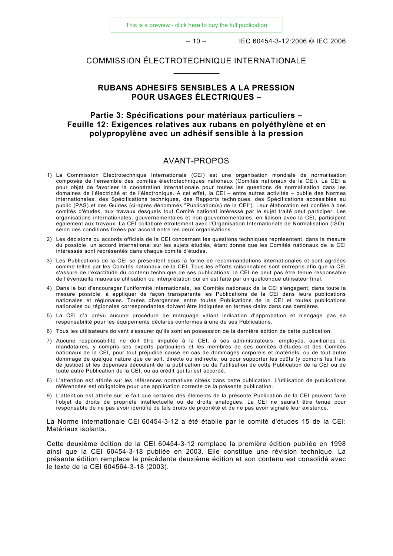[This is a preview - click here to buy the full publication](https://webstore.iec.ch/publication/2170&preview=1)

– 10 – IEC 60454-3-12:2006 © IEC 2006

# COMMISSION ÉLECTROTECHNIQUE INTERNATIONALE **\_\_\_\_\_\_\_\_\_\_\_**

# **RUBANS ADHESIFS SENSIBLES A LA PRESSION POUR USAGES ÉLECTRIQUES –**

# **Partie 3: Spécifications pour matériaux particuliers – Feuille 12: Exigences relatives aux rubans en polyéthylène et en polypropylène avec un adhésif sensible à la pression**

#### AVANT-PROPOS

- 1) La Commission Électrotechnique Internationale (CEI) est une organisation mondiale de normalisation composée de l'ensemble des comités électrotechniques nationaux (Comités nationaux de la CEI). La CEI a pour objet de favoriser la coopération internationale pour toutes les questions de normalisation dans les domaines de l'électricité et de l'électronique. A cet effet, la CEI – entre autres activités – publie des Normes internationales, des Spécifications techniques, des Rapports techniques, des Spécifications accessibles au public (PAS) et des Guides (ci-après dénommés "Publication(s) de la CEI"). Leur élaboration est confiée à des comités d'études, aux travaux desquels tout Comité national intéressé par le sujet traité peut participer. Les organisations internationales, gouvernementales et non gouvernementales, en liaison avec la CEI, participent également aux travaux. La CEI collabore étroitement avec l'Organisation Internationale de Normalisation (ISO), selon des conditions fixées par accord entre les deux organisations.
- 2) Les décisions ou accords officiels de la CEI concernant les questions techniques représentent, dans la mesure du possible, un accord international sur les sujets étudiés, étant donné que les Comités nationaux de la CEI intéressés sont représentés dans chaque comité d'études.
- 3) Les Publications de la CEI se présentent sous la forme de recommandations internationales et sont agréées comme telles par les Comités nationaux de la CEI. Tous les efforts raisonnables sont entrepris afin que la CEI s'assure de l'exactitude du contenu technique de ses publications; la CEI ne peut pas être tenue responsable de l'éventuelle mauvaise utilisation ou interprétation qui en est faite par un quelconque utilisateur final.
- 4) Dans le but d'encourager l'uniformité internationale, les Comités nationaux de la CEI s'engagent, dans toute la mesure possible, à appliquer de façon transparente les Publications de la CEI dans leurs publications nationales et régionales. Toutes divergences entre toutes Publications de la CEI et toutes publications nationales ou régionales correspondantes doivent être indiquées en termes clairs dans ces dernières.
- 5) La CEI n'a prévu aucune procédure de marquage valant indication d'approbation et n'engage pas sa responsabilité pour les équipements déclarés conformes à une de ses Publications.
- 6) Tous les utilisateurs doivent s'assurer qu'ils sont en possession de la dernière édition de cette publication.
- 7) Aucune responsabilité ne doit être imputée à la CEI, à ses administrateurs, employés, auxiliaires ou mandataires, y compris ses experts particuliers et les membres de ses comités d'études et des Comités nationaux de la CEI, pour tout préjudice causé en cas de dommages corporels et matériels, ou de tout autre dommage de quelque nature que ce soit, directe ou indirecte, ou pour supporter les coûts (y compris les frais de justice) et les dépenses découlant de la publication ou de l'utilisation de cette Publication de la CEI ou de toute autre Publication de la CEI, ou au crédit qui lui est accordé.
- 8) L'attention est attirée sur les références normatives citées dans cette publication. L'utilisation de publications référencées est obligatoire pour une application correcte de la présente publication.
- 9) L'attention est attirée sur le fait que certains des éléments de la présente Publication de la CEI peuvent faire l'objet de droits de propriété intellectuelle ou de droits analogues. La CEI ne saurait être tenue pour responsable de ne pas avoir identifié de tels droits de propriété et de ne pas avoir signalé leur existence.

La Norme internationale CEI 60454-3-12 a été établie par le comité d'études 15 de la CEI: Matériaux isolants.

Cette deuxième édition de la CEI 60454-3-12 remplace la première édition publiée en 1998 ainsi que la CEI 60454-3-18 publiée en 2003. Elle constitue une révision technique. La présente édition remplace la précédente deuxième édition et son contenu est consolidé avec le texte de la CEI 604564-3-18 (2003).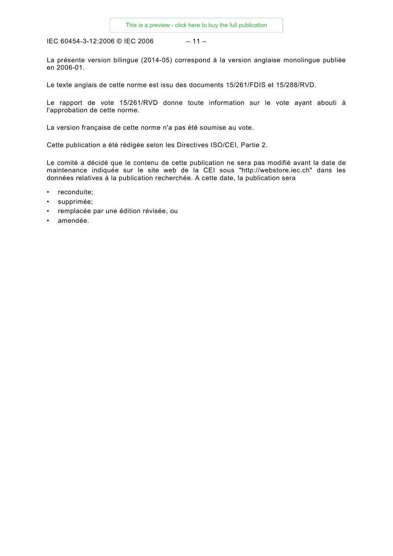IEC 60454-3-12:2006 © IEC 2006 – 11 –

La présente version bilingue (2014-05) correspond à la version anglaise monolingue publiée en 2006-01.

Le texte anglais de cette norme est issu des documents 15/261/FDIS et 15/288/RVD.

Le rapport de vote 15/261/RVD donne toute information sur le vote ayant abouti à l'approbation de cette norme.

La version française de cette norme n'a pas été soumise au vote.

Cette publication a été rédigée selon les Directives ISO/CEI, Partie 2.

Le comité a décidé que le contenu de cette publication ne sera pas modifié avant la date de maintenance indiquée sur le site web de la CEI sous "http://webstore.iec.ch" dans les données relatives à la publication recherchée. A cette date, la publication sera

- reconduite;
- supprimée;
- remplacée par une édition révisée, ou
- amendée.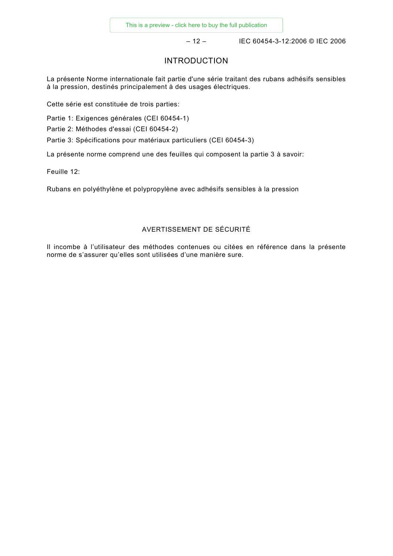– 12 – IEC 60454-3-12:2006 © IEC 2006

# INTRODUCTION

La présente Norme internationale fait partie d'une série traitant des rubans adhésifs sensibles à la pression, destinés principalement à des usages électriques.

Cette série est constituée de trois parties:

Partie 1: Exigences générales (CEI 60454-1)

Partie 2: Méthodes d'essai (CEI 60454-2)

Partie 3: Spécifications pour matériaux particuliers (CEI 60454-3)

La présente norme comprend une des feuilles qui composent la partie 3 à savoir:

Feuille 12:

Rubans en polyéthylène et polypropylène avec adhésifs sensibles à la pression

#### AVERTISSEMENT DE SÉCURITÉ

Il incombe à l'utilisateur des méthodes contenues ou citées en référence dans la présente norme de s'assurer qu'elles sont utilisées d'une manière sure.